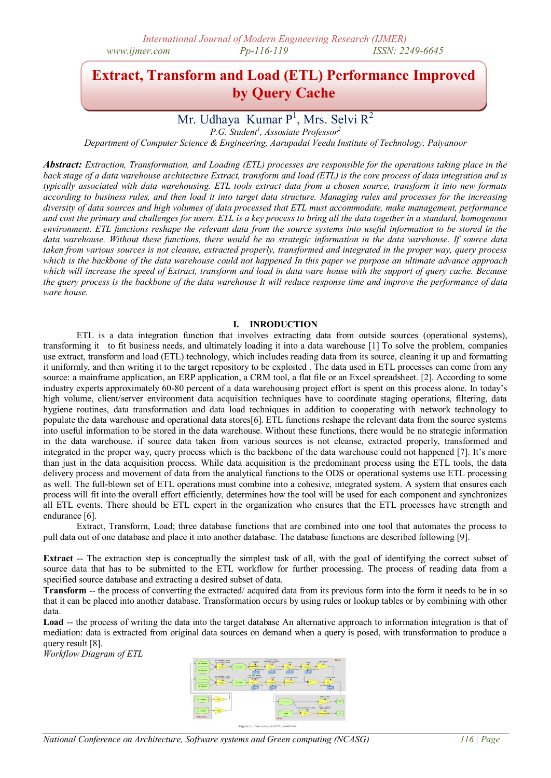# **Extract, Transform and Load (ETL) Performance Improved by Query Cache**

## Mr. Udhaya Kumar  $P^1$ , Mrs. Selvi R<sup>2</sup>

*P.G. Student<sup>1</sup> , Assosiate Professor<sup>2</sup>*

*Department of Computer Science & Engineering, Aarupadai Veedu Institute of Technology, Paiyanoor*

*Abstract: Extraction, Transformation, and Loading (ETL) processes are responsible for the operations taking place in the back stage of a data warehouse architecture Extract, transform and load (ETL) is the core process of data integration and is typically associated with data warehousing. ETL tools extract data from a chosen source, transform it into new formats according to business rules, and then load it into target data structure. Managing rules and processes for the increasing diversity of data sources and high volumes of data processed that ETL must accommodate, make management, performance and cost the primary and challenges for users. ETL is a key process to bring all the data together in a standard, homogenous environment. ETL functions reshape the relevant data from the source systems into useful information to be stored in the data warehouse. Without these functions, there would be no strategic information in the data warehouse. If source data taken from various sources is not cleanse, extracted properly, transformed and integrated in the proper way, query process which is the backbone of the data warehouse could not happened In this paper we purpose an ultimate advance approach which will increase the speed of Extract, transform and load in data ware house with the support of query cache. Because the query process is the backbone of the data warehouse It will reduce response time and improve the performance of data ware house.*

#### **I. INRODUCTION**

ETL is a data integration function that involves extracting data from outside sources (operational systems), transforming it to fit business needs, and ultimately loading it into a data warehouse [1] To solve the problem, companies use extract, transform and load (ETL) technology, which includes reading data from its source, cleaning it up and formatting it uniformly, and then writing it to the target repository to be exploited . The data used in ETL processes can come from any source: a mainframe application, an ERP application, a CRM tool, a flat file or an Excel spreadsheet. [2]. According to some industry experts approximately 60-80 percent of a data warehousing project effort is spent on this process alone. In today's high volume, client/server environment data acquisition techniques have to coordinate staging operations, filtering, data hygiene routines, data transformation and data load techniques in addition to cooperating with network technology to populate the data warehouse and operational data stores[6]. ETL functions reshape the relevant data from the source systems into useful information to be stored in the data warehouse. Without these functions, there would be no strategic information in the data warehouse. if source data taken from various sources is not cleanse, extracted properly, transformed and integrated in the proper way, query process which is the backbone of the data warehouse could not happened [7]. It's more than just in the data acquisition process. While data acquisition is the predominant process using the ETL tools, the data delivery process and movement of data from the analytical functions to the ODS or operational systems use ETL processing as well. The full-blown set of ETL operations must combine into a cohesive, integrated system. A system that ensures each process will fit into the overall effort efficiently, determines how the tool will be used for each component and synchronizes all ETL events. There should be ETL expert in the organization who ensures that the ETL processes have strength and endurance [6].

Extract, Transform, Load; three database functions that are combined into one tool that automates the process to pull data out of one database and place it into another database. The database functions are described following [9].

**Extract** -- The extraction step is conceptually the simplest task of all, with the goal of identifying the correct subset of source data that has to be submitted to the ETL workflow for further processing. The process of reading data from a specified source database and extracting a desired subset of data.

**Transform** -- the process of converting the extracted/ acquired data from its previous form into the form it needs to be in so that it can be placed into another database. Transformation occurs by using rules or lookup tables or by combining with other data.

Load -- the process of writing the data into the target database An alternative approach to information integration is that of mediation: data is extracted from original data sources on demand when a query is posed, with transformation to produce a query result [8].

*Workflow Diagram of ETL*



*National Conference on Architecture, Software systems and Green computing (NCASG) 116 | Page*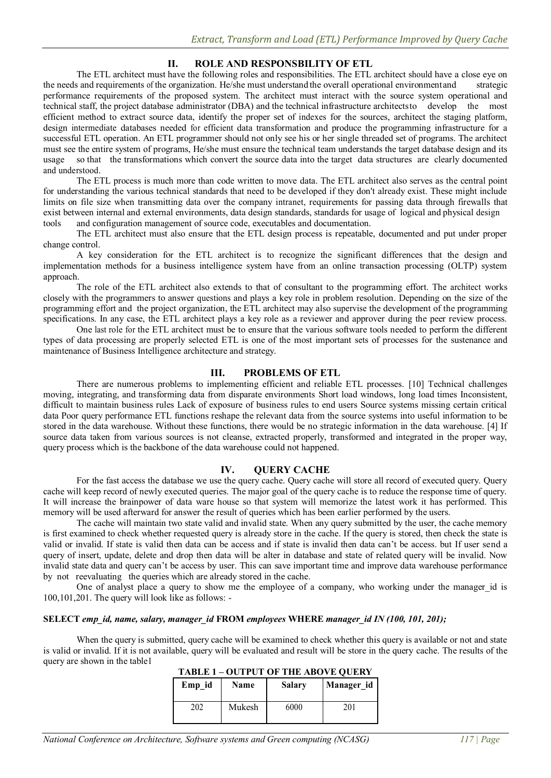### **II. ROLE AND RESPONSBILITY OF ETL**

The ETL architect must have the following roles and responsibilities. The ETL architect should have a close eye on the needs and requirements of the organization. He/she must understand the overall operational environmentand strategic performance requirements of the proposed system. The architect must interact with the source system operational and technical staff, the project database administrator (DBA) and the technical infrastructure architectsto develop the most efficient method to extract source data, identify the proper set of indexes for the sources, architect the staging platform, design intermediate databases needed for efficient data transformation and produce the programming infrastructure for a successful ETL operation. An ETL programmer should not only see his or her single threaded set of programs. The architect must see the entire system of programs, He/she must ensure the technical team understands the target database design and its usage so that the transformations which convert the source data into the target data structures are clearly documented and understood.

The ETL process is much more than code written to move data. The ETL architect also serves as the central point for understanding the various technical standards that need to be developed if they don't already exist. These might include limits on file size when transmitting data over the company intranet, requirements for passing data through firewalls that exist between internal and external environments, data design standards, standards for usage of logical and physical design tools and configuration management of source code, executables and documentation.

The ETL architect must also ensure that the ETL design process is repeatable, documented and put under proper change control.

A key consideration for the ETL architect is to recognize the significant differences that the design and implementation methods for a business intelligence system have from an online transaction processing (OLTP) system approach.

The role of the ETL architect also extends to that of consultant to the programming effort. The architect works closely with the programmers to answer questions and plays a key role in problem resolution. Depending on the size of the programming effort and the project organization, the ETL architect may also supervise the development of the programming specifications. In any case, the ETL architect plays a key role as a reviewer and approver during the peer review process.

One last role for the ETL architect must be to ensure that the various software tools needed to perform the different types of data processing are properly selected ETL is one of the most important sets of processes for the sustenance and maintenance of Business Intelligence architecture and strategy.

#### **III. PROBLEMS OF ETL**

There are numerous problems to implementing efficient and reliable ETL processes. [10] Technical challenges moving, integrating, and transforming data from disparate environments Short load windows, long load times Inconsistent, difficult to maintain business rules Lack of exposure of business rules to end users Source systems missing certain critical data Poor query performance ETL functions reshape the relevant data from the source systems into useful information to be stored in the data warehouse. Without these functions, there would be no strategic information in the data warehouse. [4] If source data taken from various sources is not cleanse, extracted properly, transformed and integrated in the proper way, query process which is the backbone of the data warehouse could not happened.

#### **IV. QUERY CACHE**

For the fast access the database we use the query cache. Query cache will store all record of executed query. Query cache will keep record of newly executed queries. The major goal of the query cache is to reduce the response time of query. It will increase the brainpower of data ware house so that system will memorize the latest work it has performed. This memory will be used afterward for answer the result of queries which has been earlier performed by the users.

The cache will maintain two state valid and invalid state. When any query submitted by the user, the cache memory is first examined to check whether requested query is already store in the cache. If the query is stored, then check the state is valid or invalid. If state is valid then data can be access and if state is invalid then data can't be access. but If user send a query of insert, update, delete and drop then data will be alter in database and state of related query will be invalid. Now invalid state data and query can't be access by user. This can save important time and improve data warehouse performance by not reevaluating the queries which are already stored in the cache.

One of analyst place a query to show me the employee of a company, who working under the manager id is 100,101,201. The query will look like as follows: -

#### **SELECT** *emp\_id, name, salary, manager\_id* **FROM** *employees* **WHERE** *manager\_id IN (100, 101, 201);*

When the query is submitted, query cache will be examined to check whether this query is available or not and state is valid or invalid. If it is not available, query will be evaluated and result will be store in the query cache. The results of the query are shown in the table1

| .      | 0011010111111100110011111 |               |            |  |
|--------|---------------------------|---------------|------------|--|
| Emp id | Name                      | <b>Salary</b> | Manager id |  |
| 202    | Mukesh                    | 6000          | 201        |  |

| <b>TABLE 1-OUTPUT OF THE ABOVE QUERY</b> |  |  |  |
|------------------------------------------|--|--|--|
|------------------------------------------|--|--|--|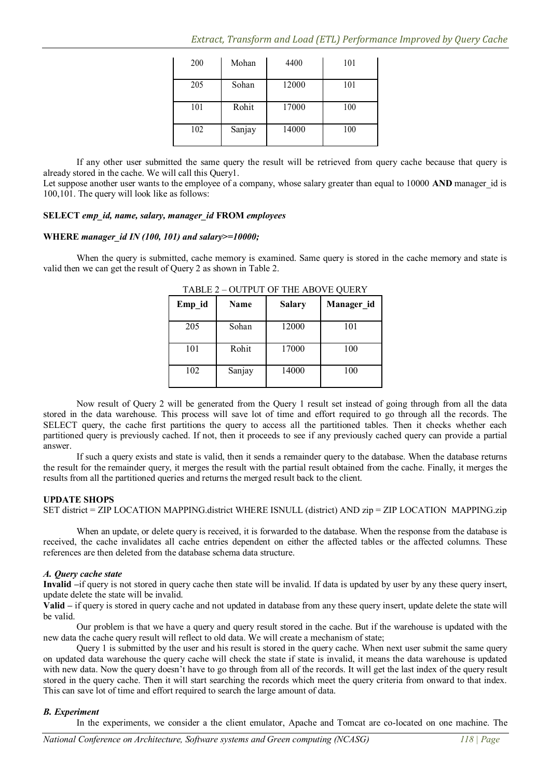| 200 | Mohan  | 4400  | 101 |
|-----|--------|-------|-----|
| 205 | Sohan  | 12000 | 101 |
| 101 | Rohit  | 17000 | 100 |
| 102 | Sanjay | 14000 | 100 |

If any other user submitted the same query the result will be retrieved from query cache because that query is already stored in the cache. We will call this Query1.

Let suppose another user wants to the employee of a company, whose salary greater than equal to 10000 AND manager\_id is 100,101. The query will look like as follows:

#### **SELECT** *emp\_id, name, salary, manager\_id* **FROM** *employees*

#### **WHERE** *manager\_id IN (100, 101) and salary>=10000;*

When the query is submitted, cache memory is examined. Same query is stored in the cache memory and state is valid then we can get the result of Query 2 as shown in Table 2.

| Emp id | Name   | <b>Salary</b> | Manager_id |
|--------|--------|---------------|------------|
| 205    | Sohan  | 12000         | 101        |
| 101    | Rohit  | 17000         | 100        |
| 102    | Sanjay | 14000         | 100        |

TABLE 2 – OUTPUT OF THE ABOVE QUERY

Now result of Query 2 will be generated from the Query 1 result set instead of going through from all the data stored in the data warehouse. This process will save lot of time and effort required to go through all the records. The SELECT query, the cache first partitions the query to access all the partitioned tables. Then it checks whether each partitioned query is previously cached. If not, then it proceeds to see if any previously cached query can provide a partial answer.

If such a query exists and state is valid, then it sends a remainder query to the database. When the database returns the result for the remainder query, it merges the result with the partial result obtained from the cache. Finally, it merges the results from all the partitioned queries and returns the merged result back to the client.

#### **UPDATE SHOPS**

SET district = ZIP LOCATION MAPPING.district WHERE ISNULL (district) AND zip = ZIP LOCATION MAPPING.zip

When an update, or delete query is received, it is forwarded to the database. When the response from the database is received, the cache invalidates all cache entries dependent on either the affected tables or the affected columns. These references are then deleted from the database schema data structure.

#### *A. Query cache state*

**Invalid –**if query is not stored in query cache then state will be invalid. If data is updated by user by any these query insert, update delete the state will be invalid.

**Valid –** if query is stored in query cache and not updated in database from any these query insert, update delete the state will be valid.

Our problem is that we have a query and query result stored in the cache. But if the warehouse is updated with the new data the cache query result will reflect to old data. We will create a mechanism of state;

Query 1 is submitted by the user and his result is stored in the query cache. When next user submit the same query on updated data warehouse the query cache will check the state if state is invalid, it means the data warehouse is updated with new data. Now the query doesn't have to go through from all of the records. It will get the last index of the query result stored in the query cache. Then it will start searching the records which meet the query criteria from onward to that index. This can save lot of time and effort required to search the large amount of data.

#### *B. Experiment*

In the experiments, we consider a the client emulator, Apache and Tomcat are co-located on one machine. The